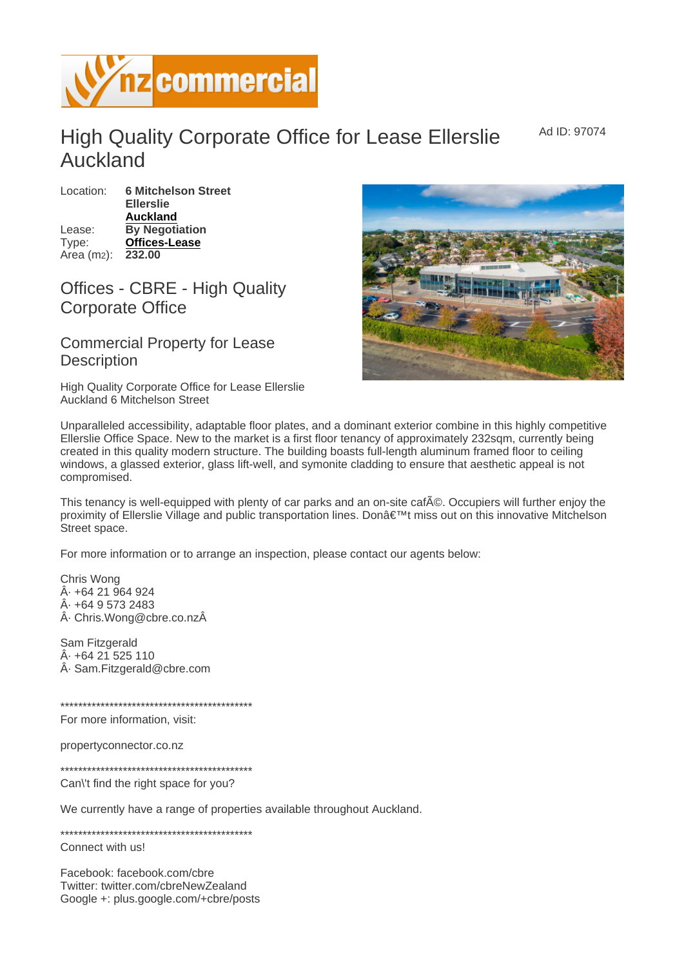Ad ID: 97074

## High Quality Corporate Office for Lease Ellerslie Auckland

Location: 6 Mitchelson Street Ellerslie [Auckland](https://www.nzcommercial.co.nz/commercial-property/location/Auckland) Lease: By Negotiation Type: [Offices-Lease](https://www.nzcommercial.co.nz/commercial-property/Offices-Lease/New-Zealand) Area (m2): 232.00

## Offices - CBRE - High Quality Corporate Office

## Commercial Property for Lease **Description**

High Quality Corporate Office for Lease Ellerslie Auckland 6 Mitchelson Street

Unparalleled accessibility, adaptable floor plates, and a dominant exterior combine in this highly competitive Ellerslie Office Space. New to the market is a first floor tenancy of approximately 232sqm, currently being created in this quality modern structure. The building boasts full-length aluminum framed floor to ceiling windows, a glassed exterior, glass lift-well, and symonite cladding to ensure that aesthetic appeal is not compromised.

This tenancy is well-equipped with plenty of car parks and an on-site caf A
©. Occupiers will further enjoy the proximity of Ellerslie Village and public transportation lines. Don't miss out on this innovative Mitchelson Street space.

For more information or to arrange an inspection, please contact our agents below:

Chris Wong · +64 21 964 924  $Å· + 6495732483$  $\hat{A}$ · Chris. Wong@cbre.co.nz $\hat{A}$ 

Sam Fitzgerald · +64 21 525 110 · Sam.Fitzgerald@cbre.com

\*\*\*\*\*\*\*\*\*\*\*\*\*\*\*\*\*\*\*\*\*\*\*\*\*\*\*\*\*\*\*\*\*\*\*\*\*\*\*\*\*\*\*

For more information, visit:

propertyconnector.co.nz

\*\*\*\*\*\*\*\*\*\*\*\*\*\*\*\*\*\*\*\*\*\*\*\*\*\*\*\*\*\*\*\*\*\*\*\*\*\*\*\*\*\*\*

Can\'t find the right space for you?

We currently have a range of properties available throughout Auckland.

\*\*\*\*\*\*\*\*\*\*\*\*\*\*\*\*\*\*\*\*\*\*\*\*\*\*\*\*\*\*\*\*\*\*\*\*\*\*\*\*\*\*\*

Connect with us!

Facebook: facebook.com/cbre Twitter: twitter.com/cbreNewZealand Google +: plus.google.com/+cbre/posts